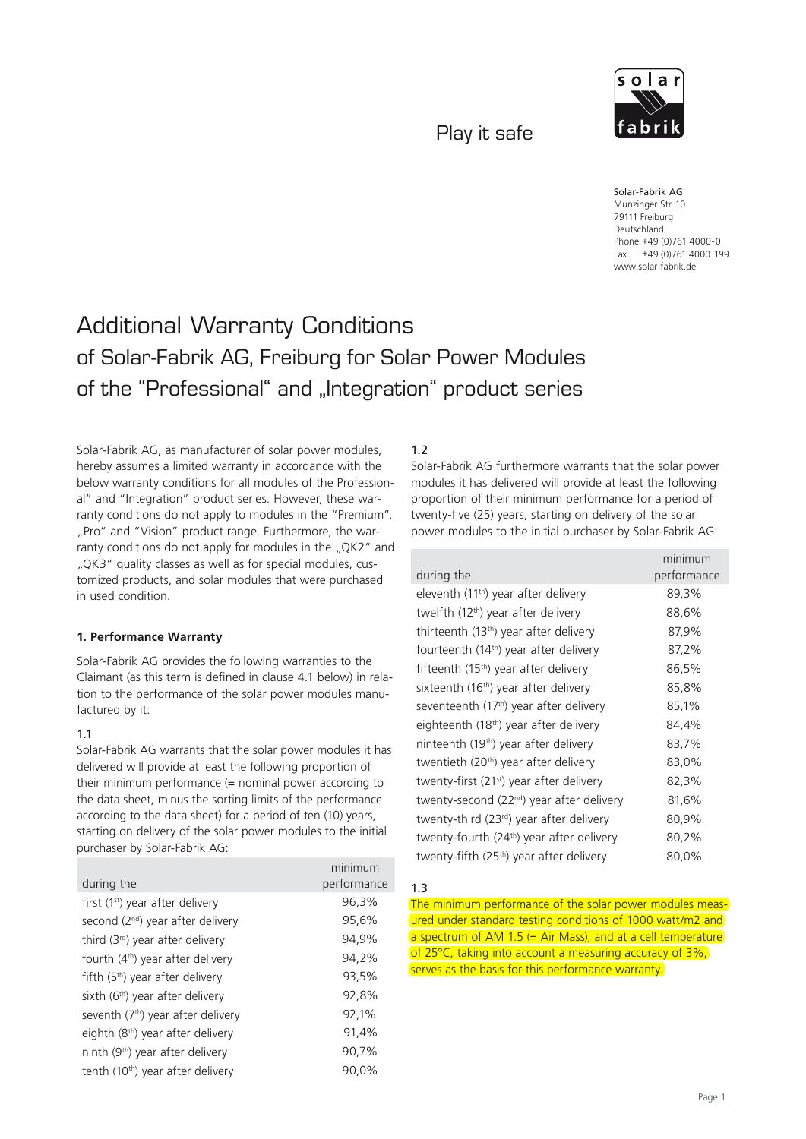Play it safe



Solar-Fabrik AG Munzinger Str. 10 79111 Freiburg Deutschland Phone +49 (0)761 4000-0 Fax +49 (0)761 4000-199 www.solar-fabrik.de

# Additional Warranty Conditions of Solar-Fabrik AG, Freiburg for Solar Power Modules of the "Professional" and "Integration" product series

Solar-Fabrik AG, as manufacturer of solar power modules, hereby assumes a limited warranty in accordance with the below warranty conditions for all modules of the Professional" and "Integration" product series. However, these warranty conditions do not apply to modules in the "Premium", "Pro" and "Vision" product range. Furthermore, the warranty conditions do not apply for modules in the "QK2" and "QK3" quality classes as well as for special modules, customized products, and solar modules that were purchased in used condition.

## **1. Performance Warranty**

Solar-Fabrik AG provides the following warranties to the Claimant (as this term is defined in clause 4.1 below) in relation to the performance of the solar power modules manufactured by it:

## 1.1

Solar-Fabrik AG warrants that the solar power modules it has delivered will provide at least the following proportion of their minimum performance (= nominal power according to the data sheet, minus the sorting limits of the performance according to the data sheet) for a period of ten (10) years, starting on delivery of the solar power modules to the initial purchaser by Solar-Fabrik AG:

|                                               | minimum     |
|-----------------------------------------------|-------------|
| during the                                    | performance |
| first (1 <sup>st</sup> ) year after delivery  | 96,3%       |
| second $(2^{nd})$ year after delivery         | 95,6%       |
| third (3 <sup>rd</sup> ) year after delivery  | 94,9%       |
| fourth (4 <sup>th</sup> ) year after delivery | 94,2%       |
| fifth $(5th)$ year after delivery             | 93,5%       |
| sixth (6 <sup>th</sup> ) year after delivery  | 92,8%       |
| seventh $(7th)$ year after delivery           | 92,1%       |
| eighth (8 <sup>th</sup> ) year after delivery | 91,4%       |
| ninth $(9th)$ year after delivery             | 90,7%       |
| tenth (10 <sup>th</sup> ) year after delivery | 90.0%       |

#### 1.2

Solar-Fabrik AG furthermore warrants that the solar power modules it has delivered will provide at least the following proportion of their minimum performance for a period of twenty-five (25) years, starting on delivery of the solar power modules to the initial purchaser by Solar-Fabrik AG:

|                                                       | minimum     |
|-------------------------------------------------------|-------------|
| during the                                            | performance |
| eleventh (11 <sup>th</sup> ) year after delivery      | 89,3%       |
| twelfth (12 <sup>th</sup> ) year after delivery       | 88,6%       |
| thirteenth $(13th)$ year after delivery               | 87,9%       |
| fourteenth $(14th)$ year after delivery               | 87,2%       |
| fifteenth (15 <sup>th</sup> ) year after delivery     | 86,5%       |
| sixteenth (16 <sup>th</sup> ) year after delivery     | 85,8%       |
| seventeenth (17 <sup>th</sup> ) year after delivery   | 85,1%       |
| eighteenth (18 <sup>th</sup> ) year after delivery    | 84,4%       |
| ninteenth $(19th)$ year after delivery                | 83,7%       |
| twentieth (20 <sup>th</sup> ) year after delivery     | 83,0%       |
| twenty-first (21 <sup>st</sup> ) year after delivery  | 82,3%       |
| twenty-second (22 <sup>nd</sup> ) year after delivery | 81,6%       |
| twenty-third (23 <sup>rd</sup> ) year after delivery  | 80,9%       |
| twenty-fourth (24 <sup>th</sup> ) year after delivery | 80,2%       |
| twenty-fifth (25 <sup>th</sup> ) year after delivery  | 80,0%       |

#### 1.3

The minimum performance of the solar power modules measured under standard testing conditions of 1000 watt/m2 and a spectrum of AM 1.5  $(=$  Air Mass), and at a cell temperature of 25°C, taking into account a measuring accuracy of 3%, serves as the basis for this performance warranty.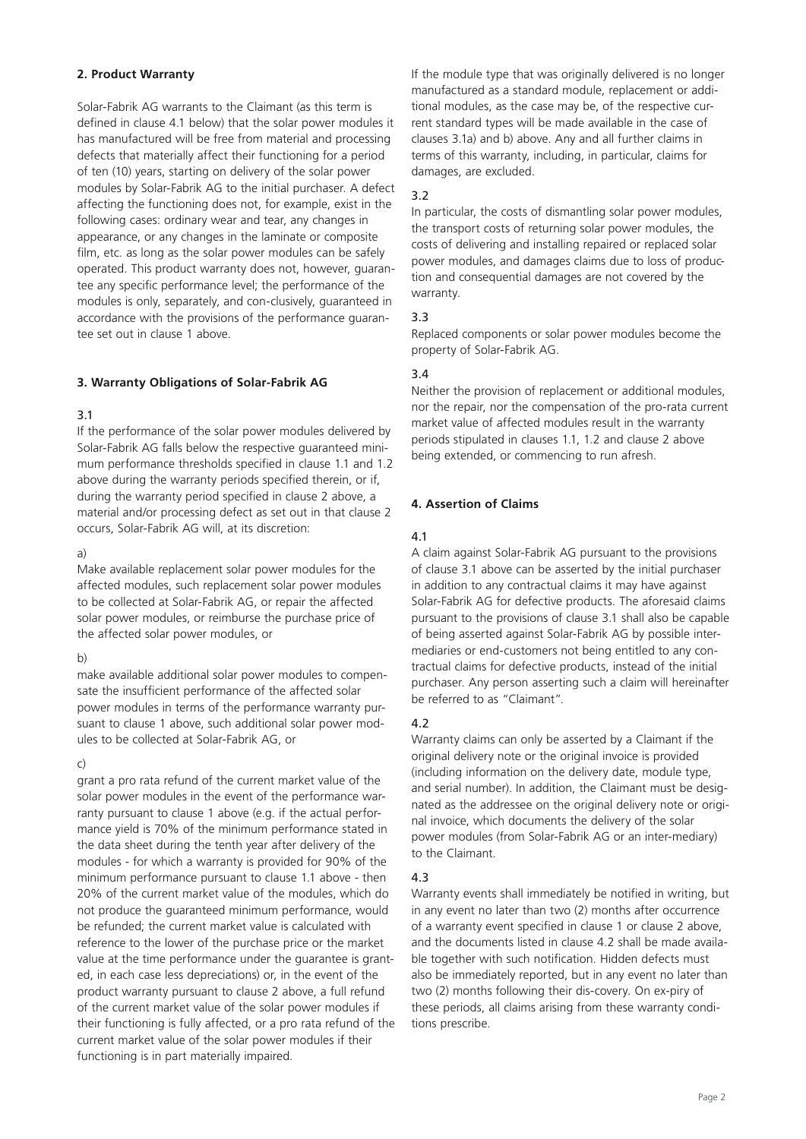## **2. Product Warranty**

Solar-Fabrik AG warrants to the Claimant (as this term is defined in clause 4.1 below) that the solar power modules it has manufactured will be free from material and processing defects that materially affect their functioning for a period of ten (10) years, starting on delivery of the solar power modules by Solar-Fabrik AG to the initial purchaser. A defect affecting the functioning does not, for example, exist in the following cases: ordinary wear and tear, any changes in appearance, or any changes in the laminate or composite film, etc. as long as the solar power modules can be safely operated. This product warranty does not, however, guarantee any specific performance level; the performance of the modules is only, separately, and con-clusively, guaranteed in accordance with the provisions of the performance guarantee set out in clause 1 above.

# **3. Warranty Obligations of Solar-Fabrik AG**

## 3.1

If the performance of the solar power modules delivered by Solar-Fabrik AG falls below the respective guaranteed minimum performance thresholds specified in clause 1.1 and 1.2 above during the warranty periods specified therein, or if, during the warranty period specified in clause 2 above, a material and/or processing defect as set out in that clause 2 occurs, Solar-Fabrik AG will, at its discretion:

## a)

Make available replacement solar power modules for the affected modules, such replacement solar power modules to be collected at Solar-Fabrik AG, or repair the affected solar power modules, or reimburse the purchase price of the affected solar power modules, or

## b)

make available additional solar power modules to compensate the insufficient performance of the affected solar power modules in terms of the performance warranty pursuant to clause 1 above, such additional solar power modules to be collected at Solar-Fabrik AG, or

## c)

grant a pro rata refund of the current market value of the solar power modules in the event of the performance warranty pursuant to clause 1 above (e.g. if the actual performance yield is 70% of the minimum performance stated in the data sheet during the tenth year after delivery of the modules - for which a warranty is provided for 90% of the minimum performance pursuant to clause 1.1 above - then 20% of the current market value of the modules, which do not produce the guaranteed minimum performance, would be refunded; the current market value is calculated with reference to the lower of the purchase price or the market value at the time performance under the guarantee is granted, in each case less depreciations) or, in the event of the product warranty pursuant to clause 2 above, a full refund of the current market value of the solar power modules if their functioning is fully affected, or a pro rata refund of the current market value of the solar power modules if their functioning is in part materially impaired.

If the module type that was originally delivered is no longer manufactured as a standard module, replacement or additional modules, as the case may be, of the respective current standard types will be made available in the case of clauses 3.1a) and b) above. Any and all further claims in terms of this warranty, including, in particular, claims for damages, are excluded.

## 3.2

In particular, the costs of dismantling solar power modules, the transport costs of returning solar power modules, the costs of delivering and installing repaired or replaced solar power modules, and damages claims due to loss of production and consequential damages are not covered by the warranty.

# 3.3

Replaced components or solar power modules become the property of Solar-Fabrik AG.

## 3.4

Neither the provision of replacement or additional modules, nor the repair, nor the compensation of the pro-rata current market value of affected modules result in the warranty periods stipulated in clauses 1.1, 1.2 and clause 2 above being extended, or commencing to run afresh.

## **4. Assertion of Claims**

## 4.1

A claim against Solar-Fabrik AG pursuant to the provisions of clause 3.1 above can be asserted by the initial purchaser in addition to any contractual claims it may have against Solar-Fabrik AG for defective products. The aforesaid claims pursuant to the provisions of clause 3.1 shall also be capable of being asserted against Solar-Fabrik AG by possible intermediaries or end-customers not being entitled to any contractual claims for defective products, instead of the initial purchaser. Any person asserting such a claim will hereinafter be referred to as "Claimant".

# 4.2

Warranty claims can only be asserted by a Claimant if the original delivery note or the original invoice is provided (including information on the delivery date, module type, and serial number). In addition, the Claimant must be designated as the addressee on the original delivery note or original invoice, which documents the delivery of the solar power modules (from Solar-Fabrik AG or an inter-mediary) to the Claimant.

## 4.3

Warranty events shall immediately be notified in writing, but in any event no later than two (2) months after occurrence of a warranty event specified in clause 1 or clause 2 above, and the documents listed in clause 4.2 shall be made available together with such notification. Hidden defects must also be immediately reported, but in any event no later than two (2) months following their dis-covery. On ex-piry of these periods, all claims arising from these warranty conditions prescribe.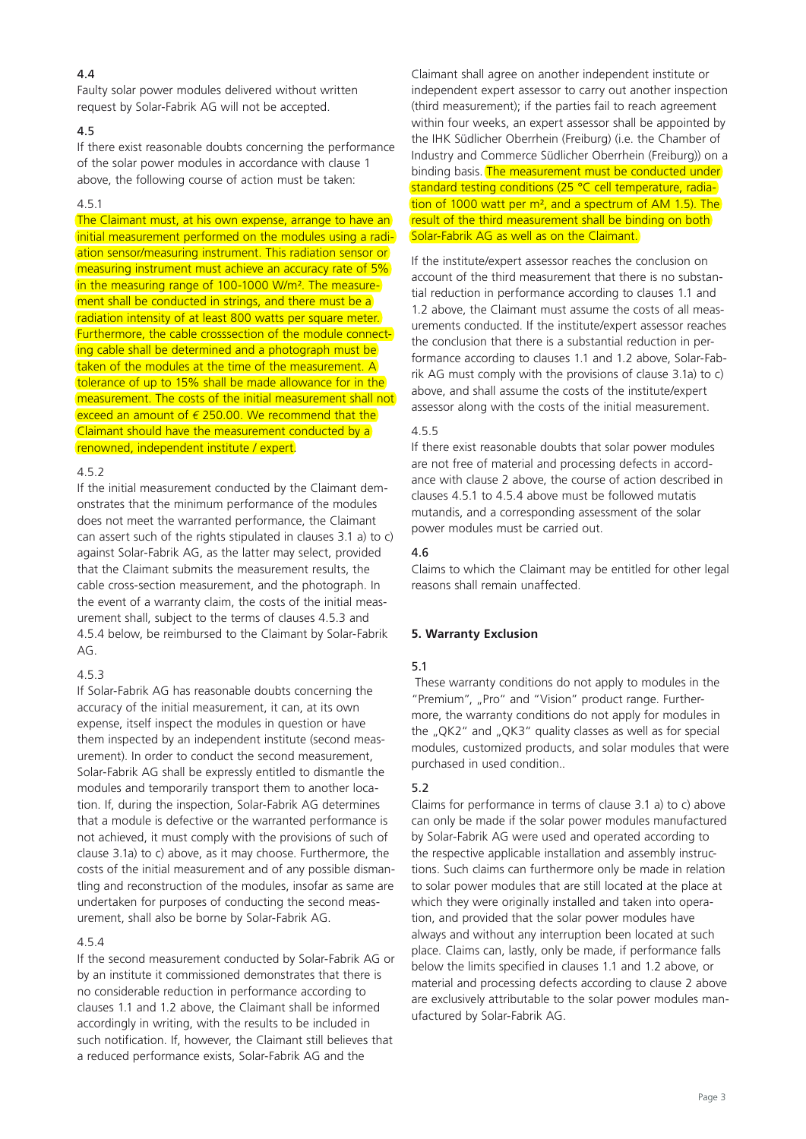# 4.4

Faulty solar power modules delivered without written request by Solar-Fabrik AG will not be accepted.

## 4.5

If there exist reasonable doubts concerning the performance of the solar power modules in accordance with clause 1 above, the following course of action must be taken:

#### 4.5.1

The Claimant must, at his own expense, arrange to have an initial measurement performed on the modules using a radiation sensor/measuring instrument. This radiation sensor or measuring instrument must achieve an accuracy rate of 5% in the measuring range of 100-1000 W/m<sup>2</sup>. The measurement shall be conducted in strings, and there must be a radiation intensity of at least 800 watts per square meter. Furthermore, the cable crosssection of the module connecting cable shall be determined and a photograph must be taken of the modules at the time of the measurement. A tolerance of up to 15% shall be made allowance for in the measurement. The costs of the initial measurement shall not exceed an amount of  $\epsilon$  250.00. We recommend that the Claimant should have the measurement conducted by a renowned, independent institute / expert.

## 4.5.2

If the initial measurement conducted by the Claimant demonstrates that the minimum performance of the modules does not meet the warranted performance, the Claimant can assert such of the rights stipulated in clauses 3.1 a) to c) against Solar-Fabrik AG, as the latter may select, provided that the Claimant submits the measurement results, the cable cross-section measurement, and the photograph. In the event of a warranty claim, the costs of the initial measurement shall, subject to the terms of clauses 4.5.3 and 4.5.4 below, be reimbursed to the Claimant by Solar-Fabrik AG.

## 4.5.3

If Solar-Fabrik AG has reasonable doubts concerning the accuracy of the initial measurement, it can, at its own expense, itself inspect the modules in question or have them inspected by an independent institute (second measurement). In order to conduct the second measurement, Solar-Fabrik AG shall be expressly entitled to dismantle the modules and temporarily transport them to another location. If, during the inspection, Solar-Fabrik AG determines that a module is defective or the warranted performance is not achieved, it must comply with the provisions of such of clause 3.1a) to c) above, as it may choose. Furthermore, the costs of the initial measurement and of any possible dismantling and reconstruction of the modules, insofar as same are undertaken for purposes of conducting the second measurement, shall also be borne by Solar-Fabrik AG.

## 4.5.4

If the second measurement conducted by Solar-Fabrik AG or by an institute it commissioned demonstrates that there is no considerable reduction in performance according to clauses 1.1 and 1.2 above, the Claimant shall be informed accordingly in writing, with the results to be included in such notification. If, however, the Claimant still believes that a reduced performance exists, Solar-Fabrik AG and the

Claimant shall agree on another independent institute or independent expert assessor to carry out another inspection (third measurement); if the parties fail to reach agreement within four weeks, an expert assessor shall be appointed by the IHK Südlicher Oberrhein (Freiburg) (i.e. the Chamber of Industry and Commerce Südlicher Oberrhein (Freiburg)) on a binding basis. The measurement must be conducted under standard testing conditions (25 °C cell temperature, radiation of 1000 watt per m², and a spectrum of AM 1.5). The result of the third measurement shall be binding on both Solar-Fabrik AG as well as on the Claimant.

If the institute/expert assessor reaches the conclusion on account of the third measurement that there is no substantial reduction in performance according to clauses 1.1 and 1.2 above, the Claimant must assume the costs of all measurements conducted. If the institute/expert assessor reaches the conclusion that there is a substantial reduction in performance according to clauses 1.1 and 1.2 above, Solar-Fabrik AG must comply with the provisions of clause 3.1a) to c) above, and shall assume the costs of the institute/expert assessor along with the costs of the initial measurement.

## 4.5.5

If there exist reasonable doubts that solar power modules are not free of material and processing defects in accordance with clause 2 above, the course of action described in clauses 4.5.1 to 4.5.4 above must be followed mutatis mutandis, and a corresponding assessment of the solar power modules must be carried out.

#### 4.6

Claims to which the Claimant may be entitled for other legal reasons shall remain unaffected.

## **5. Warranty Exclusion**

## 5.1

 These warranty conditions do not apply to modules in the "Premium", "Pro" and "Vision" product range. Furthermore, the warranty conditions do not apply for modules in the  $nQK2''$  and  $nQK3''$  quality classes as well as for special modules, customized products, and solar modules that were purchased in used condition..

## 5.2

Claims for performance in terms of clause 3.1 a) to c) above can only be made if the solar power modules manufactured by Solar-Fabrik AG were used and operated according to the respective applicable installation and assembly instructions. Such claims can furthermore only be made in relation to solar power modules that are still located at the place at which they were originally installed and taken into operation, and provided that the solar power modules have always and without any interruption been located at such place. Claims can, lastly, only be made, if performance falls below the limits specified in clauses 1.1 and 1.2 above, or material and processing defects according to clause 2 above are exclusively attributable to the solar power modules manufactured by Solar-Fabrik AG.